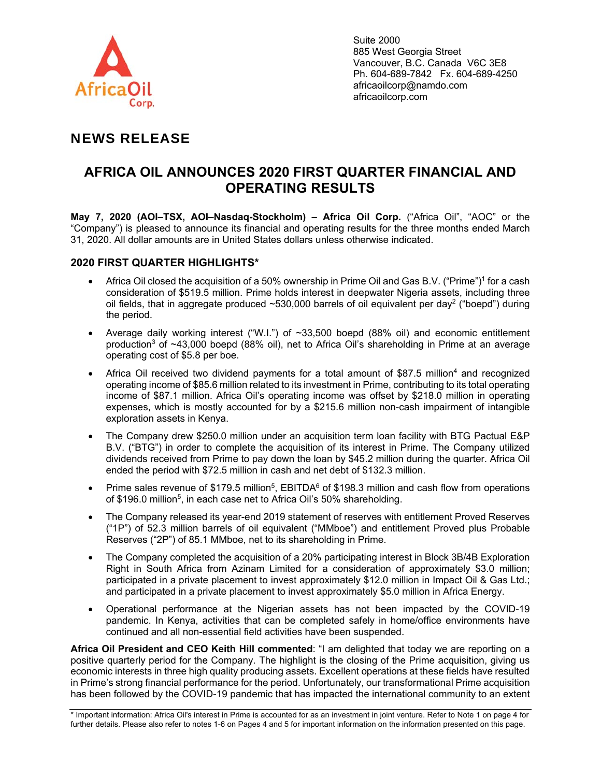

Suite 2000 885 West Georgia Street Vancouver, B.C. Canada V6C 3E8 Ph. 604-689-7842 Fx. 604-689-4250 africaoilcorp@namdo.com africaoilcorp.com

# NEWS RELEASE

# **AFRICA OIL ANNOUNCES 2020 FIRST QUARTER FINANCIAL AND OPERATING RESULTS**

**May 7, 2020 (AOI–TSX, AOI–Nasdaq-Stockholm) – Africa Oil Corp.** ("Africa Oil", "AOC" or the "Company") is pleased to announce its financial and operating results for the three months ended March 31, 2020. All dollar amounts are in United States dollars unless otherwise indicated.

## **2020 FIRST QUARTER HIGHLIGHTS\***

- Africa Oil closed the acquisition of a 50% ownership in Prime Oil and Gas B.V. ("Prime")<sup>1</sup> for a cash consideration of \$519.5 million. Prime holds interest in deepwater Nigeria assets, including three oil fields, that in aggregate produced  $\sim$  530,000 barrels of oil equivalent per day<sup>2</sup> ("boepd") during the period.
- Average daily working interest ("W.I.") of  $\sim$ 33,500 boepd (88% oil) and economic entitlement production3 of ~43,000 boepd (88% oil), net to Africa Oil's shareholding in Prime at an average operating cost of \$5.8 per boe.
- Africa Oil received two dividend payments for a total amount of \$87.5 million<sup>4</sup> and recognized operating income of \$85.6 million related to its investment in Prime, contributing to its total operating income of \$87.1 million. Africa Oil's operating income was offset by \$218.0 million in operating expenses, which is mostly accounted for by a \$215.6 million non-cash impairment of intangible exploration assets in Kenya.
- The Company drew \$250.0 million under an acquisition term loan facility with BTG Pactual E&P B.V. ("BTG") in order to complete the acquisition of its interest in Prime. The Company utilized dividends received from Prime to pay down the loan by \$45.2 million during the quarter. Africa Oil ended the period with \$72.5 million in cash and net debt of \$132.3 million.
- Prime sales revenue of \$179.5 million<sup>5</sup>, EBITDA $^6$  of \$198.3 million and cash flow from operations of \$196.0 million<sup>5</sup>, in each case net to Africa Oil's 50% shareholding.
- The Company released its year-end 2019 statement of reserves with entitlement Proved Reserves ("1P") of 52.3 million barrels of oil equivalent ("MMboe") and entitlement Proved plus Probable Reserves ("2P") of 85.1 MMboe, net to its shareholding in Prime.
- The Company completed the acquisition of a 20% participating interest in Block 3B/4B Exploration Right in South Africa from Azinam Limited for a consideration of approximately \$3.0 million; participated in a private placement to invest approximately \$12.0 million in Impact Oil & Gas Ltd.; and participated in a private placement to invest approximately \$5.0 million in Africa Energy.
- Operational performance at the Nigerian assets has not been impacted by the COVID-19 pandemic. In Kenya, activities that can be completed safely in home/office environments have continued and all non-essential field activities have been suspended.

**Africa Oil President and CEO Keith Hill commented**: "I am delighted that today we are reporting on a positive quarterly period for the Company. The highlight is the closing of the Prime acquisition, giving us economic interests in three high quality producing assets. Excellent operations at these fields have resulted in Prime's strong financial performance for the period. Unfortunately, our transformational Prime acquisition has been followed by the COVID-19 pandemic that has impacted the international community to an extent

<sup>\*</sup> Important information: Africa Oil's interest in Prime is accounted for as an investment in joint venture. Refer to Note 1 on page 4 for further details. Please also refer to notes 1-6 on Pages 4 and 5 for important information on the information presented on this page.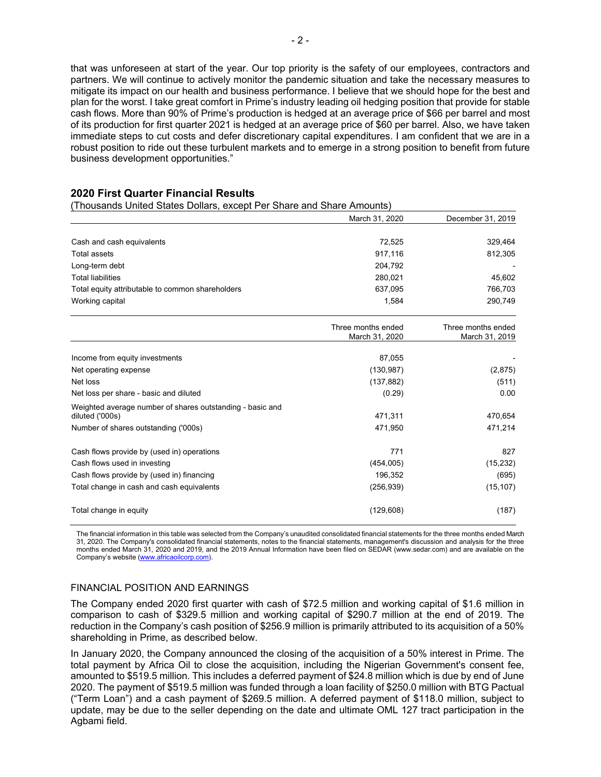that was unforeseen at start of the year. Our top priority is the safety of our employees, contractors and partners. We will continue to actively monitor the pandemic situation and take the necessary measures to mitigate its impact on our health and business performance. I believe that we should hope for the best and plan for the worst. I take great comfort in Prime's industry leading oil hedging position that provide for stable cash flows. More than 90% of Prime's production is hedged at an average price of \$66 per barrel and most of its production for first quarter 2021 is hedged at an average price of \$60 per barrel. Also, we have taken immediate steps to cut costs and defer discretionary capital expenditures. I am confident that we are in a robust position to ride out these turbulent markets and to emerge in a strong position to benefit from future business development opportunities."

## **2020 First Quarter Financial Results**

(Thousands United States Dollars, except Per Share and Share Amounts)

|                                                                              | March 31, 2020                       | December 31, 2019                    |
|------------------------------------------------------------------------------|--------------------------------------|--------------------------------------|
|                                                                              |                                      |                                      |
| Cash and cash equivalents                                                    | 72,525                               | 329,464                              |
| <b>Total assets</b>                                                          | 917,116                              | 812,305                              |
| Long-term debt                                                               | 204,792                              |                                      |
| <b>Total liabilities</b>                                                     | 280,021                              | 45,602                               |
| Total equity attributable to common shareholders                             | 637.095                              | 766,703                              |
| Working capital                                                              | 1,584                                | 290,749                              |
|                                                                              | Three months ended<br>March 31, 2020 | Three months ended<br>March 31, 2019 |
| Income from equity investments                                               | 87,055                               |                                      |
| Net operating expense                                                        | (130, 987)                           | (2, 875)                             |
| Net loss                                                                     | (137, 882)                           | (511)                                |
| Net loss per share - basic and diluted                                       | (0.29)                               | 0.00                                 |
| Weighted average number of shares outstanding - basic and<br>diluted ('000s) | 471,311                              | 470,654                              |
| Number of shares outstanding ('000s)                                         | 471,950                              | 471,214                              |
| Cash flows provide by (used in) operations                                   | 771                                  | 827                                  |
| Cash flows used in investing                                                 | (454, 005)                           | (15, 232)                            |
| Cash flows provide by (used in) financing                                    | 196,352                              | (695)                                |
| Total change in cash and cash equivalents                                    | (256, 939)                           | (15, 107)                            |
| Total change in equity                                                       | (129, 608)                           | (187)                                |

The financial information in this table was selected from the Company's unaudited consolidated financial statements for the three months ended March 31, 2020. The Company's consolidated financial statements, notes to the financial statements, management's discussion and analysis for the three months ended March 31, 2020 and 2019, and the 2019 Annual Information have been filed on SEDAR (www.sedar.com) and are available on the Company's website (www.africaoilcorp.com).

#### FINANCIAL POSITION AND EARNINGS

The Company ended 2020 first quarter with cash of \$72.5 million and working capital of \$1.6 million in comparison to cash of \$329.5 million and working capital of \$290.7 million at the end of 2019. The reduction in the Company's cash position of \$256.9 million is primarily attributed to its acquisition of a 50% shareholding in Prime, as described below.

In January 2020, the Company announced the closing of the acquisition of a 50% interest in Prime. The total payment by Africa Oil to close the acquisition, including the Nigerian Government's consent fee, amounted to \$519.5 million. This includes a deferred payment of \$24.8 million which is due by end of June 2020. The payment of \$519.5 million was funded through a loan facility of \$250.0 million with BTG Pactual ("Term Loan") and a cash payment of \$269.5 million. A deferred payment of \$118.0 million, subject to update, may be due to the seller depending on the date and ultimate OML 127 tract participation in the Agbami field.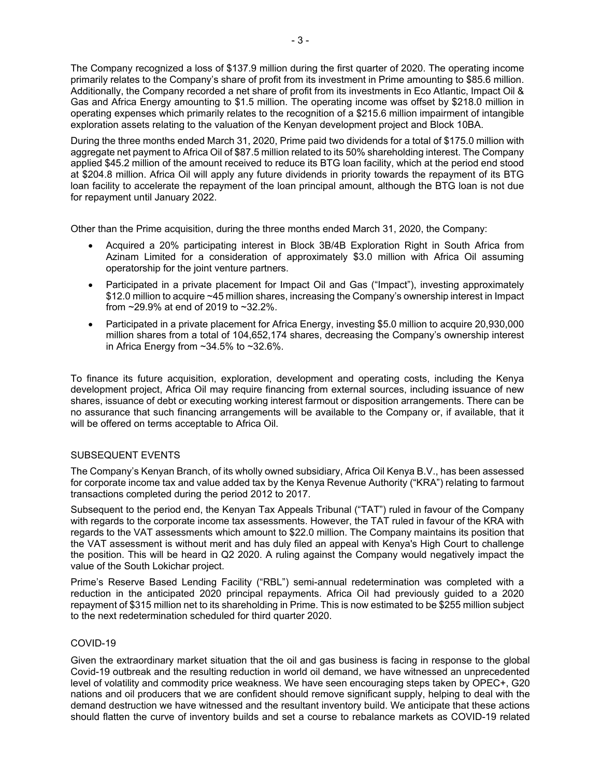The Company recognized a loss of \$137.9 million during the first quarter of 2020. The operating income primarily relates to the Company's share of profit from its investment in Prime amounting to \$85.6 million. Additionally, the Company recorded a net share of profit from its investments in Eco Atlantic, Impact Oil & Gas and Africa Energy amounting to \$1.5 million. The operating income was offset by \$218.0 million in operating expenses which primarily relates to the recognition of a \$215.6 million impairment of intangible exploration assets relating to the valuation of the Kenyan development project and Block 10BA.

During the three months ended March 31, 2020, Prime paid two dividends for a total of \$175.0 million with aggregate net payment to Africa Oil of \$87.5 million related to its 50% shareholding interest. The Company applied \$45.2 million of the amount received to reduce its BTG loan facility, which at the period end stood at \$204.8 million. Africa Oil will apply any future dividends in priority towards the repayment of its BTG loan facility to accelerate the repayment of the loan principal amount, although the BTG loan is not due for repayment until January 2022.

Other than the Prime acquisition, during the three months ended March 31, 2020, the Company:

- Acquired a 20% participating interest in Block 3B/4B Exploration Right in South Africa from Azinam Limited for a consideration of approximately \$3.0 million with Africa Oil assuming operatorship for the joint venture partners.
- Participated in a private placement for Impact Oil and Gas ("Impact"), investing approximately \$12.0 million to acquire ~45 million shares, increasing the Company's ownership interest in Impact from ~29.9% at end of 2019 to ~32.2%.
- Participated in a private placement for Africa Energy, investing \$5.0 million to acquire 20,930,000 million shares from a total of 104,652,174 shares, decreasing the Company's ownership interest in Africa Energy from  $~134.5\%$  to  $~12.6\%$ .

To finance its future acquisition, exploration, development and operating costs, including the Kenya development project, Africa Oil may require financing from external sources, including issuance of new shares, issuance of debt or executing working interest farmout or disposition arrangements. There can be no assurance that such financing arrangements will be available to the Company or, if available, that it will be offered on terms acceptable to Africa Oil.

#### SUBSEQUENT EVENTS

The Company's Kenyan Branch, of its wholly owned subsidiary, Africa Oil Kenya B.V., has been assessed for corporate income tax and value added tax by the Kenya Revenue Authority ("KRA") relating to farmout transactions completed during the period 2012 to 2017.

Subsequent to the period end, the Kenyan Tax Appeals Tribunal ("TAT") ruled in favour of the Company with regards to the corporate income tax assessments. However, the TAT ruled in favour of the KRA with regards to the VAT assessments which amount to \$22.0 million. The Company maintains its position that the VAT assessment is without merit and has duly filed an appeal with Kenya's High Court to challenge the position. This will be heard in Q2 2020. A ruling against the Company would negatively impact the value of the South Lokichar project.

Prime's Reserve Based Lending Facility ("RBL") semi-annual redetermination was completed with a reduction in the anticipated 2020 principal repayments. Africa Oil had previously guided to a 2020 repayment of \$315 million net to its shareholding in Prime. This is now estimated to be \$255 million subject to the next redetermination scheduled for third quarter 2020.

## COVID-19

Given the extraordinary market situation that the oil and gas business is facing in response to the global Covid-19 outbreak and the resulting reduction in world oil demand, we have witnessed an unprecedented level of volatility and commodity price weakness. We have seen encouraging steps taken by OPEC+, G20 nations and oil producers that we are confident should remove significant supply, helping to deal with the demand destruction we have witnessed and the resultant inventory build. We anticipate that these actions should flatten the curve of inventory builds and set a course to rebalance markets as COVID-19 related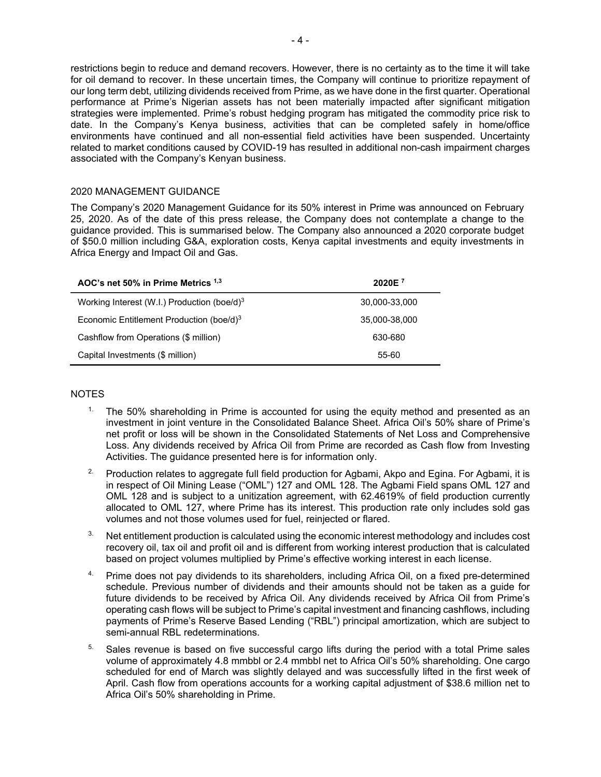restrictions begin to reduce and demand recovers. However, there is no certainty as to the time it will take for oil demand to recover. In these uncertain times, the Company will continue to prioritize repayment of our long term debt, utilizing dividends received from Prime, as we have done in the first quarter. Operational performance at Prime's Nigerian assets has not been materially impacted after significant mitigation strategies were implemented. Prime's robust hedging program has mitigated the commodity price risk to date. In the Company's Kenya business, activities that can be completed safely in home/office environments have continued and all non-essential field activities have been suspended. Uncertainty related to market conditions caused by COVID-19 has resulted in additional non-cash impairment charges associated with the Company's Kenyan business.

## 2020 MANAGEMENT GUIDANCE

The Company's 2020 Management Guidance for its 50% interest in Prime was announced on February 25, 2020. As of the date of this press release, the Company does not contemplate a change to the guidance provided. This is summarised below. The Company also announced a 2020 corporate budget of \$50.0 million including G&A, exploration costs, Kenya capital investments and equity investments in Africa Energy and Impact Oil and Gas.

| AOC's net 50% in Prime Metrics 1,3                   | 2020E <sup>7</sup> |
|------------------------------------------------------|--------------------|
| Working Interest (W.I.) Production (boe/d) $3$       | 30,000-33,000      |
| Economic Entitlement Production (boe/d) <sup>3</sup> | 35.000-38.000      |
| Cashflow from Operations (\$ million)                | 630-680            |
| Capital Investments (\$ million)                     | 55-60              |

## NOTES

- <sup>1</sup>. The 50% shareholding in Prime is accounted for using the equity method and presented as an investment in joint venture in the Consolidated Balance Sheet. Africa Oil's 50% share of Prime's net profit or loss will be shown in the Consolidated Statements of Net Loss and Comprehensive Loss. Any dividends received by Africa Oil from Prime are recorded as Cash flow from Investing Activities. The guidance presented here is for information only.
- <sup>2.</sup> Production relates to aggregate full field production for Agbami, Akpo and Egina. For Agbami, it is in respect of Oil Mining Lease ("OML") 127 and OML 128. The Agbami Field spans OML 127 and OML 128 and is subject to a unitization agreement, with 62.4619% of field production currently allocated to OML 127, where Prime has its interest. This production rate only includes sold gas volumes and not those volumes used for fuel, reinjected or flared.
- <sup>3.</sup> Net entitlement production is calculated using the economic interest methodology and includes cost recovery oil, tax oil and profit oil and is different from working interest production that is calculated based on project volumes multiplied by Prime's effective working interest in each license.
- 4. Prime does not pay dividends to its shareholders, including Africa Oil, on a fixed pre-determined schedule. Previous number of dividends and their amounts should not be taken as a guide for future dividends to be received by Africa Oil. Any dividends received by Africa Oil from Prime's operating cash flows will be subject to Prime's capital investment and financing cashflows, including payments of Prime's Reserve Based Lending ("RBL") principal amortization, which are subject to semi-annual RBL redeterminations.
- $5.$  Sales revenue is based on five successful cargo lifts during the period with a total Prime sales volume of approximately 4.8 mmbbl or 2.4 mmbbl net to Africa Oil's 50% shareholding. One cargo scheduled for end of March was slightly delayed and was successfully lifted in the first week of April. Cash flow from operations accounts for a working capital adjustment of \$38.6 million net to Africa Oil's 50% shareholding in Prime.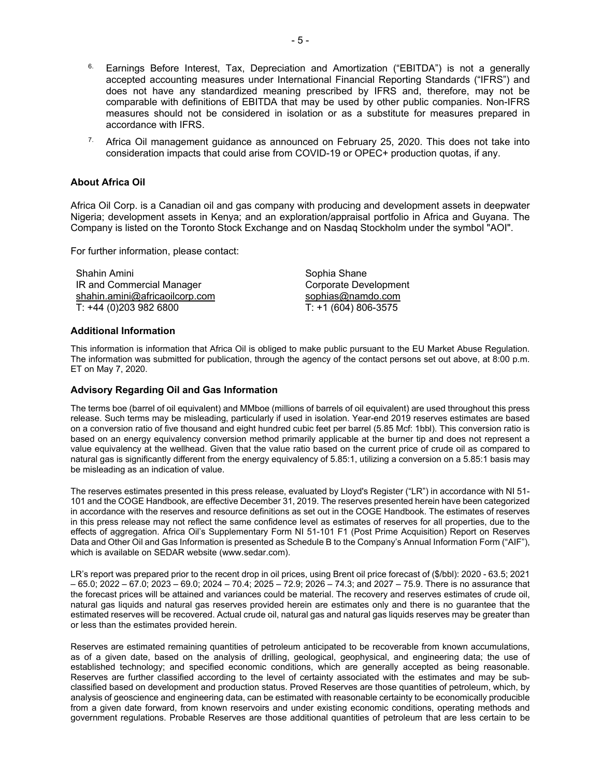- $6.$  Earnings Before Interest, Tax, Depreciation and Amortization ("EBITDA") is not a generally accepted accounting measures under International Financial Reporting Standards ("IFRS") and does not have any standardized meaning prescribed by IFRS and, therefore, may not be comparable with definitions of EBITDA that may be used by other public companies. Non-IFRS measures should not be considered in isolation or as a substitute for measures prepared in accordance with IFRS.
- <sup>7.</sup> Africa Oil management guidance as announced on February 25, 2020. This does not take into consideration impacts that could arise from COVID-19 or OPEC+ production quotas, if any.

#### **About Africa Oil**

Africa Oil Corp. is a Canadian oil and gas company with producing and development assets in deepwater Nigeria; development assets in Kenya; and an exploration/appraisal portfolio in Africa and Guyana. The Company is listed on the Toronto Stock Exchange and on Nasdaq Stockholm under the symbol "AOI".

For further information, please contact:

Shahin Amini IR and Commercial Manager shahin.amini@africaoilcorp.com T: +44 (0)203 982 6800

Sophia Shane Corporate Development sophias@namdo.com  $T: +1 (604) 806 - 3575$ 

#### **Additional Information**

This information is information that Africa Oil is obliged to make public pursuant to the EU Market Abuse Regulation. The information was submitted for publication, through the agency of the contact persons set out above, at 8:00 p.m. ET on May 7, 2020.

#### **Advisory Regarding Oil and Gas Information**

The terms boe (barrel of oil equivalent) and MMboe (millions of barrels of oil equivalent) are used throughout this press release. Such terms may be misleading, particularly if used in isolation. Year-end 2019 reserves estimates are based on a conversion ratio of five thousand and eight hundred cubic feet per barrel (5.85 Mcf: 1bbl). This conversion ratio is based on an energy equivalency conversion method primarily applicable at the burner tip and does not represent a value equivalency at the wellhead. Given that the value ratio based on the current price of crude oil as compared to natural gas is significantly different from the energy equivalency of 5.85:1, utilizing a conversion on a 5.85:1 basis may be misleading as an indication of value.

The reserves estimates presented in this press release, evaluated by Lloyd's Register ("LR") in accordance with NI 51- 101 and the COGE Handbook, are effective December 31, 2019. The reserves presented herein have been categorized in accordance with the reserves and resource definitions as set out in the COGE Handbook. The estimates of reserves in this press release may not reflect the same confidence level as estimates of reserves for all properties, due to the effects of aggregation. Africa Oil's Supplementary Form NI 51-101 F1 (Post Prime Acquisition) Report on Reserves Data and Other Oil and Gas Information is presented as Schedule B to the Company's Annual Information Form ("AIF"), which is available on SEDAR website (www.sedar.com).

LR's report was prepared prior to the recent drop in oil prices, using Brent oil price forecast of (\$/bbl): 2020 - 63.5; 2021 – 65.0; 2022 – 67.0; 2023 – 69.0; 2024 – 70.4; 2025 – 72.9; 2026 – 74.3; and 2027 – 75.9. There is no assurance that the forecast prices will be attained and variances could be material. The recovery and reserves estimates of crude oil, natural gas liquids and natural gas reserves provided herein are estimates only and there is no guarantee that the estimated reserves will be recovered. Actual crude oil, natural gas and natural gas liquids reserves may be greater than or less than the estimates provided herein.

Reserves are estimated remaining quantities of petroleum anticipated to be recoverable from known accumulations, as of a given date, based on the analysis of drilling, geological, geophysical, and engineering data; the use of established technology; and specified economic conditions, which are generally accepted as being reasonable. Reserves are further classified according to the level of certainty associated with the estimates and may be subclassified based on development and production status. Proved Reserves are those quantities of petroleum, which, by analysis of geoscience and engineering data, can be estimated with reasonable certainty to be economically producible from a given date forward, from known reservoirs and under existing economic conditions, operating methods and government regulations. Probable Reserves are those additional quantities of petroleum that are less certain to be